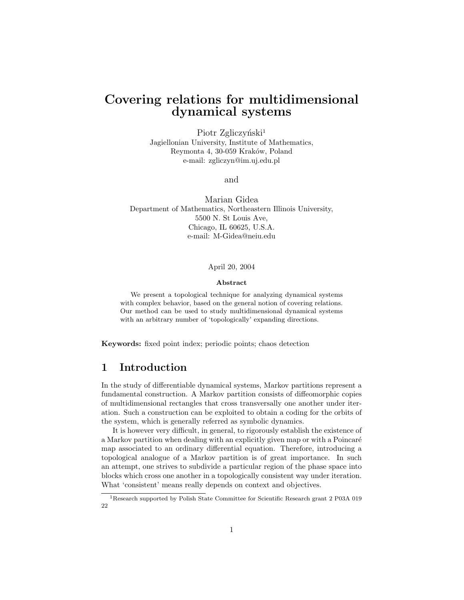# Covering relations for multidimensional dynamical systems

Piotr Zgliczyński<sup>1</sup> Jagiellonian University, Institute of Mathematics, Reymonta 4, 30-059 Kraków, Poland e-mail: zgliczyn@im.uj.edu.pl

and

Marian Gidea Department of Mathematics, Northeastern Illinois University, 5500 N. St Louis Ave, Chicago, IL 60625, U.S.A. e-mail: M-Gidea@neiu.edu

### April 20, 2004

### Abstract

We present a topological technique for analyzing dynamical systems with complex behavior, based on the general notion of covering relations. Our method can be used to study multidimensional dynamical systems with an arbitrary number of 'topologically' expanding directions.

Keywords: fixed point index; periodic points; chaos detection

## 1 Introduction

In the study of differentiable dynamical systems, Markov partitions represent a fundamental construction. A Markov partition consists of diffeomorphic copies of multidimensional rectangles that cross transversally one another under iteration. Such a construction can be exploited to obtain a coding for the orbits of the system, which is generally referred as symbolic dynamics.

It is however very difficult, in general, to rigorously establish the existence of a Markov partition when dealing with an explicitly given map or with a Poincaré map associated to an ordinary differential equation. Therefore, introducing a topological analogue of a Markov partition is of great importance. In such an attempt, one strives to subdivide a particular region of the phase space into blocks which cross one another in a topologically consistent way under iteration. What 'consistent' means really depends on context and objectives.

<sup>1</sup>Research supported by Polish State Committee for Scientific Research grant 2 P03A 019 22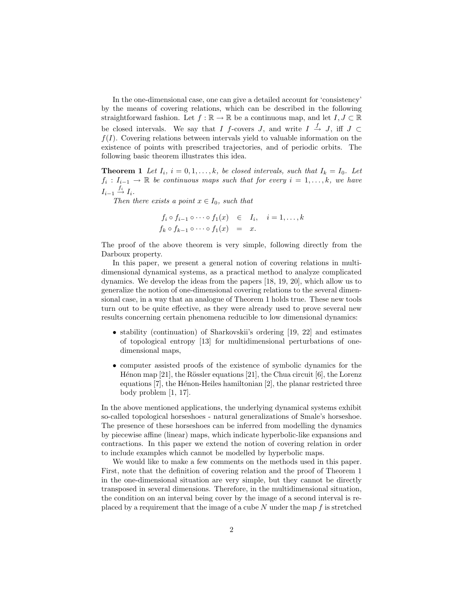In the one-dimensional case, one can give a detailed account for 'consistency' by the means of covering relations, which can be described in the following straightforward fashion. Let  $f : \mathbb{R} \to \mathbb{R}$  be a continuous map, and let  $I, J \subset \mathbb{R}$ be closed intervals. We say that I f-covers J, and write  $I \stackrel{f}{\rightarrow} J$ , iff  $J \subset$  $f(I)$ . Covering relations between intervals yield to valuable information on the existence of points with prescribed trajectories, and of periodic orbits. The following basic theorem illustrates this idea.

**Theorem 1** Let  $I_i$ ,  $i = 0, 1, ..., k$ , be closed intervals, such that  $I_k = I_0$ . Let  $f_i: I_{i-1} \to \mathbb{R}$  be continuous maps such that for every  $i = 1, \ldots, k$ , we have  $I_{i-1} \stackrel{f_i}{\rightarrow} I_i.$ 

Then there exists a point  $x \in I_0$ , such that

$$
f_i \circ f_{i-1} \circ \cdots \circ f_1(x) \in I_i, \quad i = 1, \ldots, k
$$
  

$$
f_k \circ f_{k-1} \circ \cdots \circ f_1(x) = x.
$$

The proof of the above theorem is very simple, following directly from the Darboux property.

In this paper, we present a general notion of covering relations in multidimensional dynamical systems, as a practical method to analyze complicated dynamics. We develop the ideas from the papers [18, 19, 20], which allow us to generalize the notion of one-dimensional covering relations to the several dimensional case, in a way that an analogue of Theorem 1 holds true. These new tools turn out to be quite effective, as they were already used to prove several new results concerning certain phenomena reducible to low dimensional dynamics:

- stability (continuation) of Sharkovskii's ordering [19, 22] and estimates of topological entropy [13] for multidimensional perturbations of onedimensional maps,
- computer assisted proofs of the existence of symbolic dynamics for the Hénon map  $[21]$ , the Rössler equations  $[21]$ , the Chua circuit  $[6]$ , the Lorenz equations  $[7]$ , the Hénon-Heiles hamiltonian  $[2]$ , the planar restricted three body problem [1, 17].

In the above mentioned applications, the underlying dynamical systems exhibit so-called topological horseshoes - natural generalizations of Smale's horseshoe. The presence of these horseshoes can be inferred from modelling the dynamics by piecewise affine (linear) maps, which indicate hyperbolic-like expansions and contractions. In this paper we extend the notion of covering relation in order to include examples which cannot be modelled by hyperbolic maps.

We would like to make a few comments on the methods used in this paper. First, note that the definition of covering relation and the proof of Theorem 1 in the one-dimensional situation are very simple, but they cannot be directly transposed in several dimensions. Therefore, in the multidimensional situation, the condition on an interval being cover by the image of a second interval is replaced by a requirement that the image of a cube  $N$  under the map  $f$  is stretched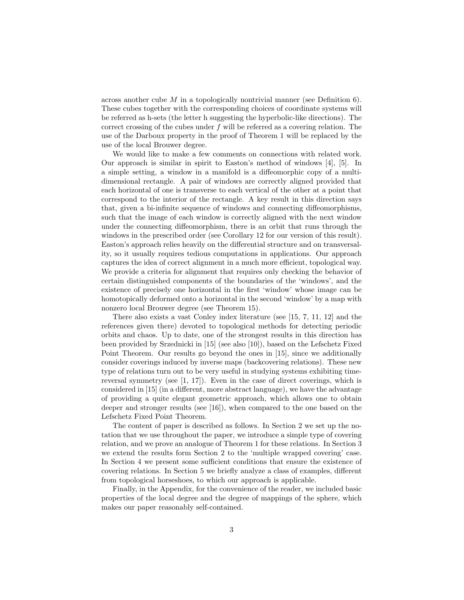across another cube M in a topologically nontrivial manner (see Definition 6). These cubes together with the corresponding choices of coordinate systems will be referred as h-sets (the letter h suggesting the hyperbolic-like directions). The correct crossing of the cubes under  $f$  will be referred as a covering relation. The use of the Darboux property in the proof of Theorem 1 will be replaced by the use of the local Brouwer degree.

We would like to make a few comments on connections with related work. Our approach is similar in spirit to Easton's method of windows [4], [5]. In a simple setting, a window in a manifold is a diffeomorphic copy of a multidimensional rectangle. A pair of windows are correctly aligned provided that each horizontal of one is transverse to each vertical of the other at a point that correspond to the interior of the rectangle. A key result in this direction says that, given a bi-infinite sequence of windows and connecting diffeomorphisms, such that the image of each window is correctly aligned with the next window under the connecting diffeomorphism, there is an orbit that runs through the windows in the prescribed order (see Corollary 12 for our version of this result). Easton's approach relies heavily on the differential structure and on transversality, so it usually requires tedious computations in applications. Our approach captures the idea of correct alignment in a much more efficient, topological way. We provide a criteria for alignment that requires only checking the behavior of certain distinguished components of the boundaries of the 'windows', and the existence of precisely one horizontal in the first 'window' whose image can be homotopically deformed onto a horizontal in the second 'window' by a map with nonzero local Brouwer degree (see Theorem 15).

There also exists a vast Conley index literature (see [15, 7, 11, 12] and the references given there) devoted to topological methods for detecting periodic orbits and chaos. Up to date, one of the strongest results in this direction has been provided by Srzednicki in [15] (see also [10]), based on the Lefschetz Fixed Point Theorem. Our results go beyond the ones in [15], since we additionally consider coverings induced by inverse maps (backcovering relations). These new type of relations turn out to be very useful in studying systems exhibiting timereversal symmetry (see  $[1, 17]$ ). Even in the case of direct coverings, which is considered in [15] (in a different, more abstract language), we have the advantage of providing a quite elegant geometric approach, which allows one to obtain deeper and stronger results (see [16]), when compared to the one based on the Lefschetz Fixed Point Theorem.

The content of paper is described as follows. In Section 2 we set up the notation that we use throughout the paper, we introduce a simple type of covering relation, and we prove an analogue of Theorem 1 for these relations. In Section 3 we extend the results form Section 2 to the 'multiple wrapped covering' case. In Section 4 we present some sufficient conditions that ensure the existence of covering relations. In Section 5 we briefly analyze a class of examples, different from topological horseshoes, to which our approach is applicable.

Finally, in the Appendix, for the convenience of the reader, we included basic properties of the local degree and the degree of mappings of the sphere, which makes our paper reasonably self-contained.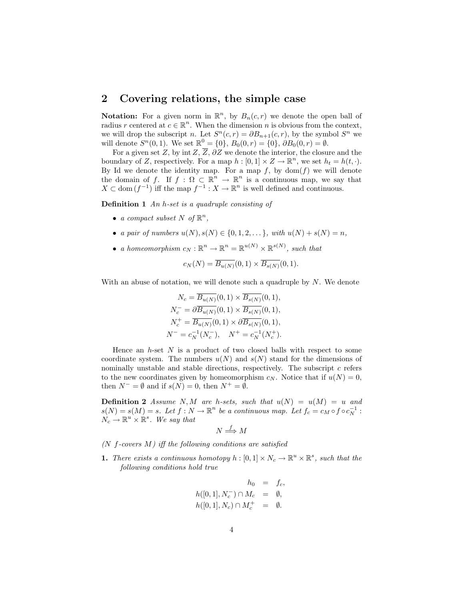## 2 Covering relations, the simple case

**Notation:** For a given norm in  $\mathbb{R}^n$ , by  $B_n(c,r)$  we denote the open ball of radius r centered at  $c \in \mathbb{R}^n$ . When the dimension n is obvious from the context, we will drop the subscript *n*. Let  $S<sup>n</sup>(c,r) = \partial B_{n+1}(c,r)$ , by the symbol  $S<sup>n</sup>$  we will denote  $S^n(0,1)$ . We set  $\mathbb{R}^0 = \{0\}$ ,  $B_0(0,r) = \{0\}$ ,  $\partial B_0(0,r) = \emptyset$ .

For a given set Z, by int  $Z$ ,  $\overline{Z}$ ,  $\partial Z$  we denote the interior, the closure and the boundary of Z, respectively. For a map  $h : [0,1] \times Z \to \mathbb{R}^n$ , we set  $h_t = h(t, \cdot)$ . By Id we denote the identity map. For a map  $f$ , by  $dom(f)$  we will denote the domain of f. If  $f : \Omega \subset \mathbb{R}^n \to \mathbb{R}^n$  is a continuous map, we say that  $X \subset \text{dom}(f^{-1})$  iff the map  $f^{-1}: X \to \mathbb{R}^n$  is well defined and continuous.

**Definition 1** An h-set is a quadruple consisting of

- a compact subset N of  $\mathbb{R}^n$ ,
- a pair of numbers  $u(N), s(N) \in \{0, 1, 2, \dots\}$ , with  $u(N) + s(N) = n$ ,
- a homeomorphism  $c_N : \mathbb{R}^n \to \mathbb{R}^n = \mathbb{R}^{u(N)} \times \mathbb{R}^{s(N)}$ , such that

$$
c_N(N) = \overline{B_{u(N)}}(0,1) \times \overline{B_{s(N)}}(0,1).
$$

With an abuse of notation, we will denote such a quadruple by  $N$ . We denote

$$
N_c = \overline{B_{u(N)}}(0,1) \times \overline{B_{s(N)}}(0,1),
$$
  
\n
$$
N_c^- = \partial \overline{B_{u(N)}}(0,1) \times \overline{B_{s(N)}}(0,1),
$$
  
\n
$$
N_c^+ = \overline{B_{u(N)}}(0,1) \times \partial \overline{B_{s(N)}}(0,1),
$$
  
\n
$$
N^- = c_N^{-1}(N_c^-), \quad N^+ = c_N^{-1}(N_c^+).
$$

Hence an  $h$ -set  $N$  is a product of two closed balls with respect to some coordinate system. The numbers  $u(N)$  and  $s(N)$  stand for the dimensions of nominally unstable and stable directions, respectively. The subscript  $c$  refers to the new coordinates given by homeomorphism  $c_N$ . Notice that if  $u(N) = 0$ , then  $N^- = \emptyset$  and if  $s(N) = 0$ , then  $N^+ = \emptyset$ .

**Definition 2** Assume N, M are h-sets, such that  $u(N) = u(M) = u$  and  $s(N) = s(M) = s$ . Let  $f : N \to \mathbb{R}^n$  be a continuous map. Let  $f_c = c_M \circ f \circ c_N^{-1}$ :  $\mathcal{N}_c \to \mathbb{R}^u \times \mathbb{R}^s$ . We say that

$$
N \stackrel{f}{\Longrightarrow} M
$$

 $(N \text{ } f\text{-} covers \text{ } M)$  iff the following conditions are satisfied

**1.** There exists a continuous homotopy  $h : [0,1] \times N_c \to \mathbb{R}^u \times \mathbb{R}^s$ , such that the following conditions hold true

$$
h_0 = f_c,
$$
  
\n
$$
h([0, 1], N_c^-) \cap M_c = \emptyset,
$$
  
\n
$$
h([0, 1], N_c) \cap M_c^+ = \emptyset.
$$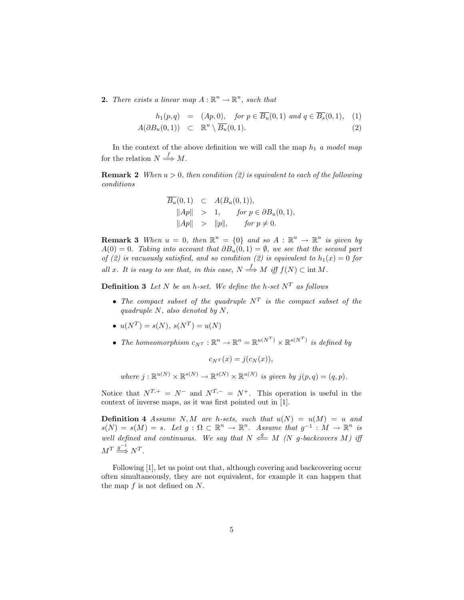**2.** There exists a linear map  $A: \mathbb{R}^u \to \mathbb{R}^u$ , such that

$$
h_1(p,q) = (Ap,0), \quad \text{for } p \in \overline{B_u}(0,1) \text{ and } q \in \overline{B_s}(0,1), \quad (1)
$$

$$
A(\partial B_u(0,1)) \subset \mathbb{R}^u \setminus \overline{B_u}(0,1). \tag{2}
$$

In the context of the above definition we will call the map  $h_1$  a model map for the relation  $N \stackrel{f}{\Longrightarrow} M$ .

**Remark 2** When  $u > 0$ , then condition (2) is equivalent to each of the following conditions

$$
\overline{B_u}(0,1) \quad \subset \quad A(B_u(0,1)),
$$
  
\n
$$
||Ap|| \quad > \quad 1, \qquad \text{for } p \in \partial B_u(0,1),
$$
  
\n
$$
||Ap|| \quad > \quad ||p||, \qquad \text{for } p \neq 0.
$$

**Remark 3** When  $u = 0$ , then  $\mathbb{R}^u = \{0\}$  and so  $A : \mathbb{R}^u \to \mathbb{R}^u$  is given by  $A(0) = 0$ . Taking into account that  $\partial B_u(0,1) = \emptyset$ , we see that the second part of (2) is vacuously satisfied, and so condition (2) is equivalent to  $h_1(x) = 0$  for all x. It is easy to see that, in this case,  $N \stackrel{f}{\Longrightarrow} M$  iff  $f(N) \subset \text{int } M$ .

**Definition 3** Let N be an h-set. We define the h-set  $N<sup>T</sup>$  as follows

- The compact subset of the quadruple  $N^T$  is the compact subset of the quadruple  $N$ , also denoted by  $N$ ,
- $u(N^T) = s(N), s(N^T) = u(N)$
- The homeomorphism  $c_{N^T}: \mathbb{R}^n \to \mathbb{R}^n = \mathbb{R}^{u(N^T)} \times \mathbb{R}^{s(N^T)}$  is defined by

 $c_{NT}(x) = j(c_N(x)),$ 

where  $j : \mathbb{R}^{u(N)} \times \mathbb{R}^{s(N)} \to \mathbb{R}^{s(N)} \times \mathbb{R}^{u(N)}$  is given by  $j(p,q) = (q,p)$ .

Notice that  $N^{T,+} = N^-$  and  $N^{T,-} = N^+$ . This operation is useful in the context of inverse maps, as it was first pointed out in [1].

**Definition 4** Assume N, M are h-sets, such that  $u(N) = u(M) = u$  and  $s(N) = s(M) = s$ . Let  $g: \Omega \subset \mathbb{R}^n \to \mathbb{R}^n$ . Assume that  $g^{-1}: M \to \mathbb{R}^n$  is well defined and continuous. We say that  $N \stackrel{g}{\longleftarrow} M$  (N g-backcovers M) iff  $M^T \stackrel{g^{-1}}{\Longrightarrow} N^T.$ 

Following [1], let us point out that, although covering and backcovering occur often simultaneously, they are not equivalent, for example it can happen that the map  $f$  is not defined on  $N$ .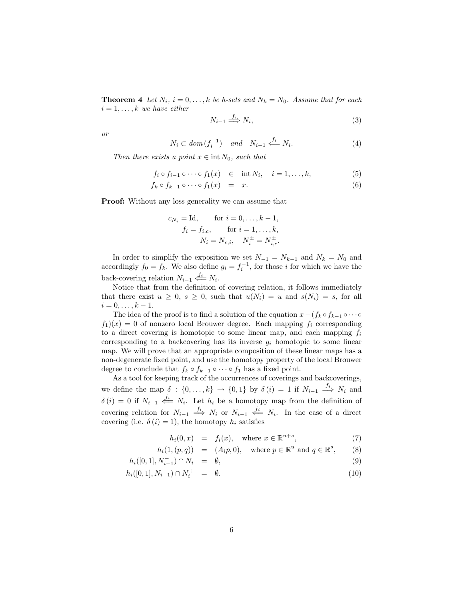**Theorem 4** Let  $N_i$ ,  $i = 0, ..., k$  be h-sets and  $N_k = N_0$ . Assume that for each  $i = 1, \ldots, k$  we have either

$$
N_{i-1} \stackrel{f_i}{\Longrightarrow} N_i,\tag{3}
$$

or

$$
N_i \subset dom(f_i^{-1}) \quad and \quad N_{i-1} \stackrel{f_i}{\leftarrow} N_i. \tag{4}
$$

Then there exists a point  $x \in \text{int } N_0$ , such that

$$
f_i \circ f_{i-1} \circ \cdots \circ f_1(x) \quad \in \quad \text{int } N_i, \quad i = 1, \dots, k,
$$
 (5)

$$
f_k \circ f_{k-1} \circ \cdots \circ f_1(x) = x. \tag{6}
$$

**Proof:** Without any loss generality we can assume that

$$
c_{N_i} = \text{Id}, \qquad \text{for } i = 0, \dots, k - 1, \nf_i = f_{i,c}, \qquad \text{for } i = 1, \dots, k, \nN_i = N_{c,i}, \quad N_i^{\pm} = N_{i,c}^{\pm}.
$$

In order to simplify the exposition we set  $N_{-1} = N_{k-1}$  and  $N_k = N_0$  and accordingly  $f_0 = f_k$ . We also define  $g_i = f_i^{-1}$ , for those i for which we have the back-covering relation  $N_{i-1} \stackrel{f_i}{\Longleftarrow} N_i$ .

Notice that from the definition of covering relation, it follows immediately that there exist  $u \geq 0$ ,  $s \geq 0$ , such that  $u(N_i) = u$  and  $s(N_i) = s$ , for all  $i = 0, \ldots, k - 1.$ 

The idea of the proof is to find a solution of the equation  $x-(f_k \circ f_{k-1} \circ \cdots \circ f_k \circ f_{k-1})$  $f_1(x) = 0$  of nonzero local Brouwer degree. Each mapping  $f_i$  corresponding to a direct covering is homotopic to some linear map, and each mapping  $f_i$ corresponding to a backcovering has its inverse  $g_i$  homotopic to some linear map. We will prove that an appropriate composition of these linear maps has a non-degenerate fixed point, and use the homotopy property of the local Brouwer degree to conclude that  $f_k \circ f_{k-1} \circ \cdots \circ f_1$  has a fixed point.

As a tool for keeping track of the occurrences of coverings and backcoverings, we define the map  $\delta : \{0, \ldots, k\} \to \{0, 1\}$  by  $\delta(i) = 1$  if  $N_{i-1} \stackrel{f_i}{\Longrightarrow} N_i$  and  $\delta(i) = 0$  if  $N_{i-1} \stackrel{f_i}{\longleftarrow} N_i$ . Let  $h_i$  be a homotopy map from the definition of covering relation for  $N_{i-1} \stackrel{f_i}{\Longrightarrow} N_i$  or  $N_{i-1} \stackrel{f_i}{\Longleftarrow} N_i$ . In the case of a direct covering (i.e.  $\delta(i) = 1$ ), the homotopy  $h_i$  satisfies

$$
h_i(0, x) = f_i(x), \quad \text{where } x \in \mathbb{R}^{u+s}, \tag{7}
$$

$$
h_i(1,(p,q)) = (A_i p, 0), \text{ where } p \in \mathbb{R}^u \text{ and } q \in \mathbb{R}^s,
$$
 (8)

$$
h_i([0,1], N_{i-1}^-) \cap N_i = \emptyset, \tag{9}
$$

$$
h_i([0,1], N_{i-1}) \cap N_i^+ = \emptyset. \tag{10}
$$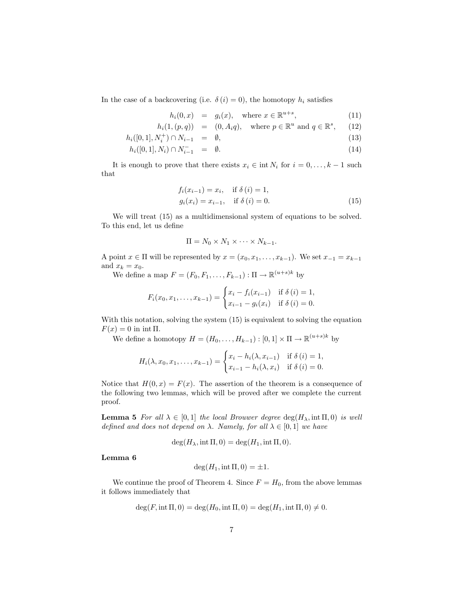In the case of a backcovering (i.e.  $\delta(i) = 0$ ), the homotopy  $h_i$  satisfies

$$
h_i(0, x) = g_i(x), \quad \text{where } x \in \mathbb{R}^{u+s}, \tag{11}
$$

$$
h_i(1,(p,q)) = (0,A_iq), \quad \text{where } p \in \mathbb{R}^u \text{ and } q \in \mathbb{R}^s, \qquad (12)
$$

$$
h_i([0,1], N_i^+) \cap N_{i-1} = \emptyset, \tag{13}
$$

$$
h_i([0,1], N_i) \cap N_{i-1}^- = \emptyset. \tag{14}
$$

It is enough to prove that there exists  $x_i \in \text{int } N_i$  for  $i = 0, \ldots, k - 1$  such that

$$
f_i(x_{i-1}) = x_i, \text{ if } \delta(i) = 1,g_i(x_i) = x_{i-1}, \text{ if } \delta(i) = 0.
$$
 (15)

We will treat  $(15)$  as a multidimensional system of equations to be solved. To this end, let us define

$$
\Pi = N_0 \times N_1 \times \cdots \times N_{k-1}.
$$

A point  $x \in \Pi$  will be represented by  $x = (x_0, x_1, \ldots, x_{k-1})$ . We set  $x_{-1} = x_{k-1}$ and  $x_k = x_0$ .

We define a map  $F = (F_0, F_1, \ldots, F_{k-1}) : \Pi \to \mathbb{R}^{(u+s)k}$  by

$$
F_i(x_0, x_1, \dots, x_{k-1}) = \begin{cases} x_i - f_i(x_{i-1}) & \text{if } \delta(i) = 1, \\ x_{i-1} - g_i(x_i) & \text{if } \delta(i) = 0. \end{cases}
$$

With this notation, solving the system  $(15)$  is equivalent to solving the equation  $F(x) = 0$  in int Π.

We define a homotopy  $H = (H_0, \ldots, H_{k-1}) : [0,1] \times \Pi \to \mathbb{R}^{(u+s)k}$  by

$$
H_i(\lambda, x_0, x_1, \dots, x_{k-1}) = \begin{cases} x_i - h_i(\lambda, x_{i-1}) & \text{if } \delta(i) = 1, \\ x_{i-1} - h_i(\lambda, x_i) & \text{if } \delta(i) = 0. \end{cases}
$$

Notice that  $H(0, x) = F(x)$ . The assertion of the theorem is a consequence of the following two lemmas, which will be proved after we complete the current proof.

**Lemma 5** For all  $\lambda \in [0,1]$  the local Brouwer degree  $\deg(H_\lambda, \text{int } \Pi, 0)$  is well defined and does not depend on  $\lambda$ . Namely, for all  $\lambda \in [0,1]$  we have

$$
\deg(H_{\lambda}, \text{int }\Pi, 0) = \deg(H_1, \text{int }\Pi, 0).
$$

Lemma 6

$$
\deg(H_1, \text{int } \Pi, 0) = \pm 1.
$$

We continue the proof of Theorem 4. Since  $F = H_0$ , from the above lemmas it follows immediately that

$$
\deg(F, \text{int } \Pi, 0) = \deg(H_0, \text{int } \Pi, 0) = \deg(H_1, \text{int } \Pi, 0) \neq 0.
$$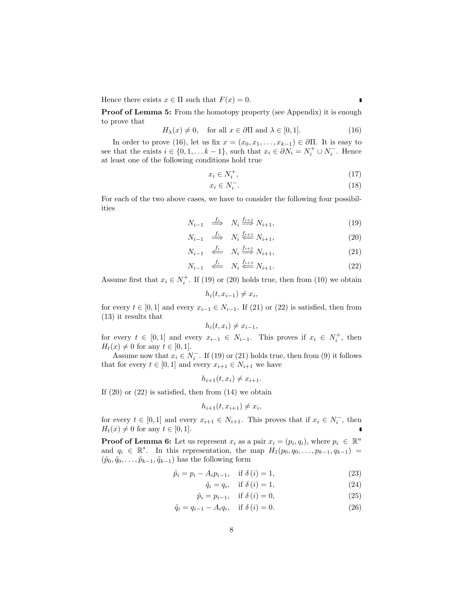Hence there exists  $x \in \Pi$  such that  $F(x) = 0$ .

**Proof of Lemma 5:** From the homotopy property (see Appendix) it is enough to prove that

$$
H_{\lambda}(x) \neq 0, \quad \text{for all } x \in \partial \Pi \text{ and } \lambda \in [0, 1]. \tag{16}
$$

In order to prove (16), let us fix  $x = (x_0, x_1, \ldots, x_{k-1}) \in \partial \Pi$ . It is easy to see that the exists  $i \in \{0, 1, \ldots k-1\}$ , such that  $x_i \in \partial N_i = N_i^+ \cup N_i^-$ . Hence at least one of the following conditions hold true

$$
x_i \in N_i^+, \tag{17}
$$

$$
x_i \in N_i^-.
$$
\n<sup>(18)</sup>

For each of the two above cases, we have to consider the following four possibilities

$$
N_{i-1} \stackrel{f_i}{\implies} N_i \stackrel{f_{i+1}}{\implies} N_{i+1},\tag{19}
$$

$$
N_{i-1} \stackrel{f_i}{\implies} N_i \stackrel{f_{i+1}}{\Longleftarrow} N_{i+1},\tag{20}
$$

$$
N_{i-1} \stackrel{f_i}{\iff} N_i \stackrel{f_{i+1}}{\Longrightarrow} N_{i+1},\tag{21}
$$

$$
N_{i-1} \quad \stackrel{f_i}{\Longleftarrow} \quad N_i \stackrel{f_{i+1}}{\Longleftarrow} N_{i+1}.\tag{22}
$$

Assume first that  $x_i \in N_i^+$ . If (19) or (20) holds true, then from (10) we obtain

 $h_i(t, x_{i-1}) \neq x_i,$ 

for every  $t \in [0,1]$  and every  $x_{i-1} \in N_{i-1}$ . If (21) or (22) is satisfied, then from (13) it results that

$$
h_i(t, x_i) \neq x_{i-1},
$$

for every  $t \in [0,1]$  and every  $x_{i-1} \in N_{i-1}$ . This proves if  $x_i \in N_i^+$ , then  $H_t(x) \neq 0$  for any  $t \in [0, 1]$ .

Assume now that  $x_i \in N_i^-$ . If (19) or (21) holds true, then from (9) it follows that for every  $t \in [0,1]$  and every  $x_{i+1} \in N_{i+1}$  we have

$$
h_{i+1}(t, x_i) \neq x_{i+1}.
$$

If  $(20)$  or  $(22)$  is satisfied, then from  $(14)$  we obtain

$$
h_{i+1}(t, x_{i+1}) \neq x_i,
$$

for every  $t \in [0,1]$  and every  $x_{i+1} \in N_{i+1}$ . This proves that if  $x_i \in N_i^-$ , then  $H_t(x) \neq 0$  for any  $t \in [0, 1]$ .

**Proof of Lemma 6:** Let us represent  $x_i$  as a pair  $x_i = (p_i, q_i)$ , where  $p_i \in \mathbb{R}^u$ and  $q_i \in \mathbb{R}^s$ . In this representation, the map  $H_1(p_0, q_0, \ldots, p_{k-1}, q_{k-1}) =$  $(\tilde{p}_0, \tilde{q}_0, \ldots, \tilde{p}_{k-1}, \tilde{q}_{k-1})$  has the following form

$$
\tilde{p}_i = p_i - A_i p_{i-1}, \quad \text{if } \delta(i) = 1,\tag{23}
$$

$$
\tilde{q}_i = q_i, \quad \text{if } \delta(i) = 1,\tag{24}
$$

$$
\tilde{p}_i = p_{i-1}, \quad \text{if } \delta(i) = 0,
$$
\n
$$
(25)
$$

$$
\tilde{q}_i = q_{i-1} - A_i q_i, \quad \text{if } \delta(i) = 0. \tag{26}
$$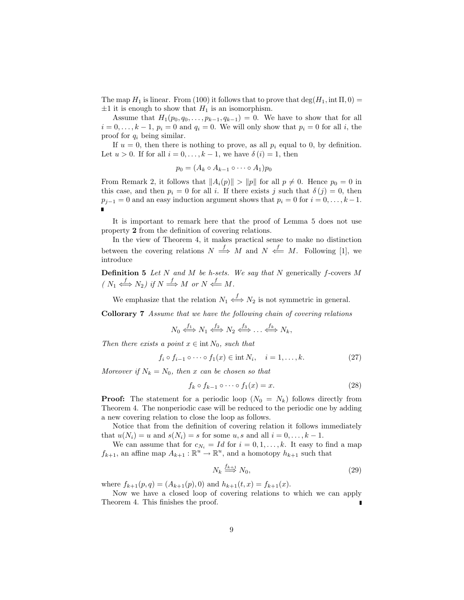The map  $H_1$  is linear. From (100) it follows that to prove that  $\deg(H_1, \text{int } \Pi, 0)$  $\pm 1$  it is enough to show that  $H_1$  is an isomorphism.

Assume that  $H_1(p_0, q_0, \ldots, p_{k-1}, q_{k-1}) = 0$ . We have to show that for all  $i = 0, \ldots, k - 1, p_i = 0$  and  $q_i = 0$ . We will only show that  $p_i = 0$  for all i, the proof for  $q_i$  being similar.

If  $u = 0$ , then there is nothing to prove, as all  $p_i$  equal to 0, by definition. Let  $u > 0$ . If for all  $i = 0, \ldots, k - 1$ , we have  $\delta(i) = 1$ , then

$$
p_0 = (A_k \circ A_{k-1} \circ \cdots \circ A_1)p_0
$$

From Remark 2, it follows that  $||A_i(p)|| > ||p||$  for all  $p \neq 0$ . Hence  $p_0 = 0$  in this case, and then  $p_i = 0$  for all i. If there exists j such that  $\delta(j) = 0$ , then  $p_{j-1} = 0$  and an easy induction argument shows that  $p_i = 0$  for  $i = 0, \ldots, k-1$ .  $\blacksquare$ 

It is important to remark here that the proof of Lemma 5 does not use property 2 from the definition of covering relations.

In the view of Theorem 4, it makes practical sense to make no distinction between the covering relations  $N \stackrel{f}{\implies} M$  and  $N \stackrel{f}{\iff} M$ . Following [1], we introduce

**Definition 5** Let N and M be h-sets. We say that N generically  $f$ -covers M  $(N_1 \stackrel{f}{\Longleftrightarrow} N_2)$  if  $N \stackrel{f}{\Longrightarrow} M$  or  $N \stackrel{f}{\Longleftarrow} M$ .

We emphasize that the relation  $N_1 \stackrel{f}{\iff} N_2$  is not symmetric in general.

Collorary 7 Assume that we have the following chain of covering relations

$$
N_0 \xleftrightarrow{f_1} N_1 \xleftrightarrow{f_2} N_2 \xleftrightarrow{f_3} \dots \xleftrightarrow{f_k} N_k,
$$

Then there exists a point  $x \in \text{int } N_0$ , such that

$$
f_i \circ f_{i-1} \circ \cdots \circ f_1(x) \in \text{int } N_i, \quad i = 1, \dots, k. \tag{27}
$$

Moreover if  $N_k = N_0$ , then x can be chosen so that

$$
f_k \circ f_{k-1} \circ \cdots \circ f_1(x) = x. \tag{28}
$$

**Proof:** The statement for a periodic loop  $(N_0 = N_k)$  follows directly from Theorem 4. The nonperiodic case will be reduced to the periodic one by adding a new covering relation to close the loop as follows.

Notice that from the definition of covering relation it follows immediately that  $u(N_i) = u$  and  $s(N_i) = s$  for some  $u, s$  and all  $i = 0, \ldots, k - 1$ .

We can assume that for  $c_{N_i} = Id$  for  $i = 0, 1, ..., k$ . It easy to find a map  $f_{k+1}$ , an affine map  $A_{k+1} : \mathbb{R}^u \to \mathbb{R}^u$ , and a homotopy  $h_{k+1}$  such that

$$
N_k \stackrel{f_{k+1}}{\Longrightarrow} N_0,\tag{29}
$$

where  $f_{k+1}(p,q) = (A_{k+1}(p), 0)$  and  $h_{k+1}(t,x) = f_{k+1}(x)$ .

Now we have a closed loop of covering relations to which we can apply Theorem 4. This finishes the proof.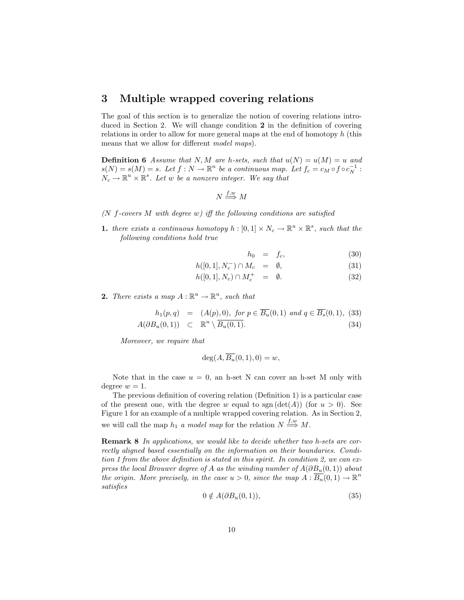## 3 Multiple wrapped covering relations

The goal of this section is to generalize the notion of covering relations introduced in Section 2. We will change condition 2 in the definition of covering relations in order to allow for more general maps at the end of homotopy h (this means that we allow for different *model maps*).

**Definition 6** Assume that N, M are h-sets, such that  $u(N) = u(M) = u$  and  $s(N) = s(M) = s$ . Let  $f : N \to \mathbb{R}^n$  be a continuous map. Let  $f_c = c_M \circ f \circ c_N^{-1}$ :  $N_c \to \mathbb{R}^u \times \mathbb{R}^s$ . Let w be a nonzero integer. We say that

$$
N \stackrel{f,w}{\Longrightarrow} M
$$

- ( $N$  f-covers  $M$  with degree  $w$ ) iff the following conditions are satisfied
- **1.** there exists a continuous homotopy  $h : [0,1] \times N_c \to \mathbb{R}^u \times \mathbb{R}^s$ , such that the following conditions hold true

$$
h_0 = f_c,\t\t(30)
$$

$$
h([0,1], N_c^-) \cap M_c = \emptyset, \qquad (31)
$$

$$
h([0,1], N_c) \cap M_c^+ = \emptyset. \tag{32}
$$

**2.** There exists a map  $A: \mathbb{R}^u \to \mathbb{R}^u$ , such that

$$
h_1(p,q) = (A(p), 0), \text{ for } p \in \overline{B_u}(0,1) \text{ and } q \in \overline{B_s}(0,1), (33)
$$

$$
A(\partial B_u(0,1)) \quad \subset \quad \mathbb{R}^u \setminus \overline{B_u(0,1)}.\tag{34}
$$

Moreover, we require that

$$
\deg(A, \overline{B_u}(0,1), 0) = w,
$$

Note that in the case  $u = 0$ , an h-set N can cover an h-set M only with degree  $w = 1$ .

The previous definition of covering relation (Definition 1) is a particular case of the present one, with the degree w equal to sgn  $(\det(A))$  (for  $u > 0$ ). See Figure 1 for an example of a multiple wrapped covering relation. As in Section 2, we will call the map  $h_1$  a model map for the relation  $N \stackrel{f,w}{\Longrightarrow} M$ .

Remark 8 In applications, we would like to decide whether two h-sets are correctly aligned based essentially on the information on their boundaries. Condition 1 from the above definition is stated in this spirit. In condition 2, we can express the local Brouwer degree of A as the winding number of  $A(\partial B_u(0,1))$  about the origin. More precisely, in the case  $u > 0$ , since the map  $A : \overline{B_n}(0,1) \to \mathbb{R}^n$ satisfies

$$
0 \notin A(\partial B_u(0,1)),\tag{35}
$$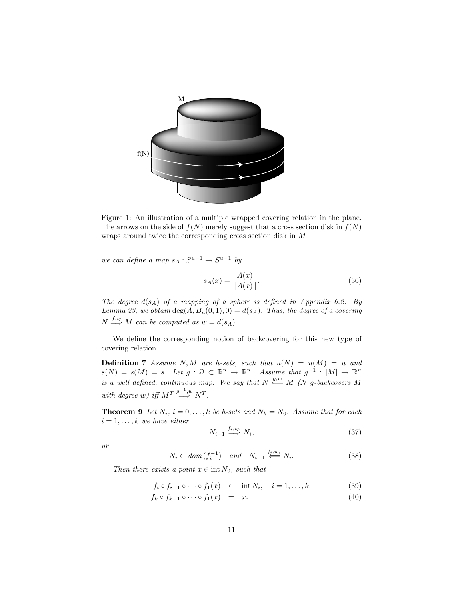

Figure 1: An illustration of a multiple wrapped covering relation in the plane. The arrows on the side of  $f(N)$  merely suggest that a cross section disk in  $f(N)$ wraps around twice the corresponding cross section disk in M

we can define a map  $s_A : S^{u-1} \to S^{u-1}$  by

$$
s_A(x) = \frac{A(x)}{\|A(x)\|}.
$$
 (36)

The degree  $d(s_A)$  of a mapping of a sphere is defined in Appendix 6.2. By Lemma 23, we obtain  $\deg(A, \overline{B_u}(0,1), 0) = d(s_A)$ . Thus, the degree of a covering  $N \stackrel{f,w}{\Longrightarrow} M$  can be computed as  $w = d(s_A)$ .

We define the corresponding notion of backcovering for this new type of covering relation.

**Definition 7** Assume N, M are h-sets, such that  $u(N) = u(M) = u$  and  $s(N) = s(M) = s.$  Let  $g: \Omega \subset \mathbb{R}^n \to \mathbb{R}^n$ . Assume that  $g^{-1}: |M| \to \mathbb{R}^n$ is a well defined, continuous map. We say that  $N \stackrel{g,w}{\longleftarrow} M$  (N g-backcovers M with degree w) iff  $M^T \stackrel{g^{-1},w}{\Longrightarrow} N^T$ .

**Theorem 9** Let  $N_i$ ,  $i = 0, ..., k$  be h-sets and  $N_k = N_0$ . Assume that for each  $i = 1, \ldots, k$  we have either

$$
N_{i-1} \stackrel{f_i, w_i}{\Longrightarrow} N_i,\tag{37}
$$

or

$$
N_i \subset dom(f_i^{-1}) \quad and \quad N_{i-1} \stackrel{f_i, w_i}{\Longleftarrow} N_i. \tag{38}
$$

Then there exists a point  $x \in \text{int } N_0$ , such that

$$
f_i \circ f_{i-1} \circ \cdots \circ f_1(x) \quad \in \quad \text{int } N_i, \quad i = 1, \dots, k,
$$
 (39)

$$
f_k \circ f_{k-1} \circ \cdots \circ f_1(x) = x. \tag{40}
$$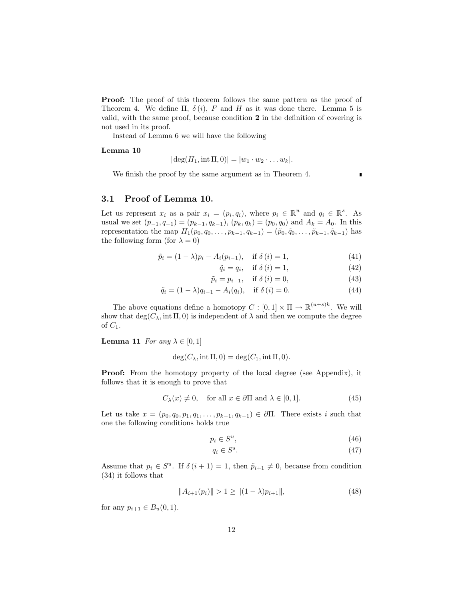Proof: The proof of this theorem follows the same pattern as the proof of Theorem 4. We define  $\Pi$ ,  $\delta(i)$ , F and H as it was done there. Lemma 5 is valid, with the same proof, because condition 2 in the definition of covering is not used in its proof.

Instead of Lemma 6 we will have the following

#### Lemma 10

$$
|\deg(H_1, \text{int }\Pi, 0)| = |w_1 \cdot w_2 \cdot \ldots w_k|.
$$

We finish the proof by the same argument as in Theorem 4.

 $\blacksquare$ 

### 3.1 Proof of Lemma 10.

Let us represent  $x_i$  as a pair  $x_i = (p_i, q_i)$ , where  $p_i \in \mathbb{R}^u$  and  $q_i \in \mathbb{R}^s$ . As usual we set  $(p_{-1}, q_{-1}) = (p_{k-1}, q_{k-1}), (p_k, q_k) = (p_0, q_0)$  and  $A_k = A_0$ . In this representation the map  $H_1(p_0, q_0, \ldots, p_{k-1}, q_{k-1}) = (\tilde{p}_0, \tilde{q}_0, \ldots, \tilde{p}_{k-1}, \tilde{q}_{k-1})$  has the following form (for  $\lambda = 0$ )

$$
\tilde{p}_i = (1 - \lambda)p_i - A_i(p_{i-1}), \quad \text{if } \delta(i) = 1,
$$
\n(41)

$$
\tilde{q}_i = q_i, \quad \text{if } \delta(i) = 1,\tag{42}
$$

$$
\tilde{p}_i = p_{i-1}, \quad \text{if } \delta(i) = 0,
$$
\n<sup>(43)</sup>

$$
\tilde{q}_i = (1 - \lambda)q_{i-1} - A_i(q_i), \quad \text{if } \delta(i) = 0.
$$
\n(44)

The above equations define a homotopy  $C : [0,1] \times \Pi \to \mathbb{R}^{(u+s)k}$ . We will show that  $deg(C_\lambda, int \Pi, 0)$  is independent of  $\lambda$  and then we compute the degree of  $C_1$ .

**Lemma 11** For any  $\lambda \in [0, 1]$ 

$$
\deg(C_{\lambda}, \text{int }\Pi, 0) = \deg(C_1, \text{int }\Pi, 0).
$$

Proof: From the homotopy property of the local degree (see Appendix), it follows that it is enough to prove that

$$
C_{\lambda}(x) \neq 0, \quad \text{for all } x \in \partial \Pi \text{ and } \lambda \in [0, 1]. \tag{45}
$$

Let us take  $x = (p_0, q_0, p_1, q_1, \ldots, p_{k-1}, q_{k-1}) \in \partial \Pi$ . There exists i such that one the following conditions holds true

$$
p_i \in S^u,\tag{46}
$$

$$
q_i \in S^s. \tag{47}
$$

Assume that  $p_i \in S^u$ . If  $\delta(i+1) = 1$ , then  $\tilde{p}_{i+1} \neq 0$ , because from condition (34) it follows that

$$
||A_{i+1}(p_i)|| > 1 \ge ||(1 - \lambda)p_{i+1}||,
$$
\n(48)

for any  $p_{i+1} \in \overline{B_u(0,1)}$ .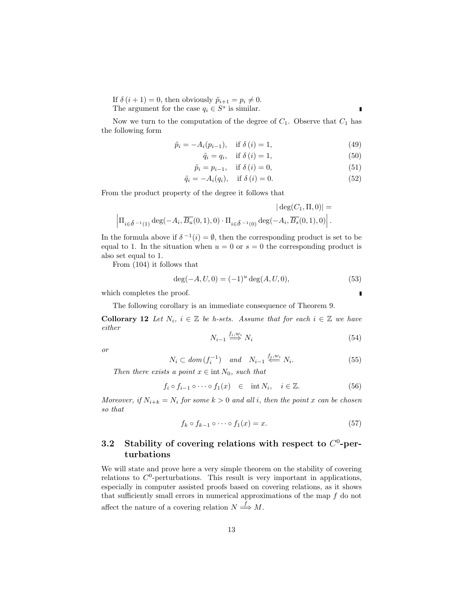If  $\delta(i + 1) = 0$ , then obviously  $\tilde{p}_{i+1} = p_i \neq 0$ . The argument for the case  $q_i \in S^s$  is similar.

Г

Now we turn to the computation of the degree of  $C_1$ . Observe that  $C_1$  has the following form

$$
\tilde{p}_i = -A_i(p_{i-1}), \quad \text{if } \delta(i) = 1,
$$
\n(49)

$$
\tilde{q}_i = q_i, \quad \text{if } \delta(i) = 1,\tag{50}
$$

$$
\tilde{p}_i = p_{i-1}, \quad \text{if } \delta(i) = 0,
$$
\n
$$
(51)
$$

$$
\tilde{q}_i = -A_i(q_i), \quad \text{if } \delta(i) = 0. \tag{52}
$$

From the product property of the degree it follows that

$$
\begin{array}{c} \hspace{-0.1cm} \left|\deg(C_1,\Pi,0)\right| = \\ \hspace{-0.1cm}\left|\Pi_{i\in\delta^{-1}(1)}\deg(-A_i,\overline{B_u}(0,1),0)\cdot\Pi_{i\in\delta^{-1}(0)}\deg(-A_i,\overline{B_s}(0,1),0)\right|.\end{array}
$$

In the formula above if  $\delta^{-1}(i) = \emptyset$ , then the corresponding product is set to be equal to 1. In the situation when  $u = 0$  or  $s = 0$  the corresponding product is also set equal to 1.

From (104) it follows that

$$
\deg(-A, U, 0) = (-1)^u \deg(A, U, 0),\tag{53}
$$

which completes the proof.

The following corollary is an immediate consequence of Theorem 9.

**Collorary 12** Let  $N_i$ ,  $i \in \mathbb{Z}$  be h-sets. Assume that for each  $i \in \mathbb{Z}$  we have either

$$
N_{i-1} \stackrel{f_i, w_i}{\Longrightarrow} N_i \tag{54}
$$

or

$$
N_i \subset \text{dom}\,(f_i^{-1}) \quad \text{and} \quad N_{i-1} \stackrel{f_j, w_i}{\Longleftarrow} N_i. \tag{55}
$$

Then there exists a point  $x \in \text{int } N_0$ , such that

$$
f_i \circ f_{i-1} \circ \cdots \circ f_1(x) \quad \in \quad \text{int } N_i, \quad i \in \mathbb{Z}.
$$

Moreover, if  $N_{i+k} = N_i$  for some  $k > 0$  and all i, then the point x can be chosen so that

$$
f_k \circ f_{k-1} \circ \cdots \circ f_1(x) = x. \tag{57}
$$

## 3.2 Stability of covering relations with respect to  $C^0$ -perturbations

We will state and prove here a very simple theorem on the stability of covering relations to  $C^0$ -perturbations. This result is very important in applications, especially in computer assisted proofs based on covering relations, as it shows that sufficiently small errors in numerical approximations of the map  $f$  do not affect the nature of a covering relation  $N \stackrel{f}{\Longrightarrow} M$ .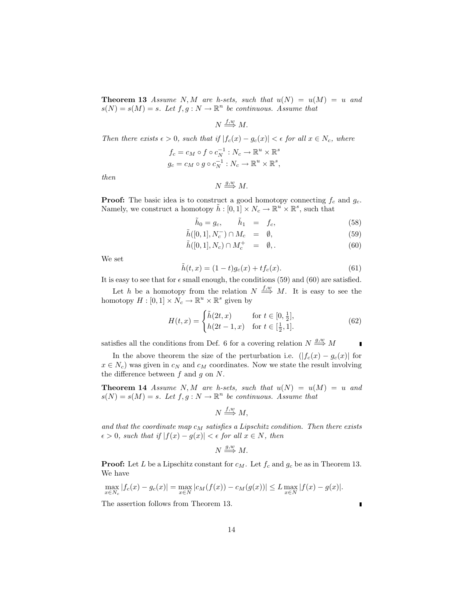**Theorem 13** Assume N, M are h-sets, such that  $u(N) = u(M) = u$  and  $s(N) = s(M) = s$ . Let  $f, g: N \to \mathbb{R}^n$  be continuous. Assume that

 $N \stackrel{f,w}{\Longrightarrow} M.$ 

Then there exists  $\epsilon > 0$ , such that if  $|f_c(x) - g_c(x)| < \epsilon$  for all  $x \in N_c$ , where  $f_c = c_M \circ f \circ c_N^{-1} : N_c \to \mathbb{R}^u \times \mathbb{R}^s$ s

$$
g_c = c_M \circ g \circ c_N^{-1} : N_c \to \mathbb{R}^u \times \mathbb{R}
$$

then

$$
N \stackrel{g,w}{\Longrightarrow} M.
$$

**Proof:** The basic idea is to construct a good homotopy connecting  $f_c$  and  $g_c$ . Namely, we construct a homotopy  $\tilde{h}: [0,1] \times N_c \to \mathbb{R}^u \times \mathbb{R}^s$ , such that

$$
\tilde{h}_0 = g_c, \qquad \tilde{h}_1 = f_c, \tag{58}
$$

,

$$
\tilde{h}([0,1], N_c^-) \cap M_c = \emptyset, \tag{59}
$$

$$
\tilde{h}([0,1], N_c) \cap M_c^+ = \emptyset, \qquad (60)
$$

We set

$$
\tilde{h}(t,x) = (1-t)g_c(x) + tf_c(x).
$$
\n(61)

It is easy to see that for  $\epsilon$  small enough, the conditions (59) and (60) are satisfied.

Let h be a homotopy from the relation  $N \stackrel{f,w}{\Longrightarrow} M$ . It is easy to see the homotopy  $H: [0,1] \times N_c \to \mathbb{R}^u \times \mathbb{R}^s$  given by

$$
H(t,x) = \begin{cases} \tilde{h}(2t,x) & \text{for } t \in [0, \frac{1}{2}],\\ h(2t-1,x) & \text{for } t \in [\frac{1}{2}, 1]. \end{cases}
$$
(62)

satisfies all the conditions from Def. 6 for a covering relation  $N \stackrel{g,w}{\Longrightarrow} M$  $\blacksquare$ 

In the above theorem the size of the perturbation i.e.  $(|f_c(x) - g_c(x)|)$  for  $x \in N_c$ ) was given in  $c_N$  and  $c_M$  coordinates. Now we state the result involving the difference between  $f$  and  $g$  on  $N$ .

**Theorem 14** Assume N, M are h-sets, such that  $u(N) = u(M) = u$  and  $s(N) = s(M) = s$ . Let  $f, g: N \to \mathbb{R}^n$  be continuous. Assume that

$$
N \stackrel{f,w}{\Longrightarrow} M,
$$

and that the coordinate map  $c_M$  satisfies a Lipschitz condition. Then there exists  $\epsilon > 0$ , such that if  $|f(x) - g(x)| < \epsilon$  for all  $x \in N$ , then

 $N \stackrel{g,w}{\Longrightarrow} M.$ 

**Proof:** Let L be a Lipschitz constant for  $c_M$ . Let  $f_c$  and  $g_c$  be as in Theorem 13. We have

$$
\max_{x \in N_c} |f_c(x) - g_c(x)| = \max_{x \in N} |c_M(f(x)) - c_M(g(x))| \le L \max_{x \in N} |f(x) - g(x)|.
$$

The assertion follows from Theorem 13.

 $\blacksquare$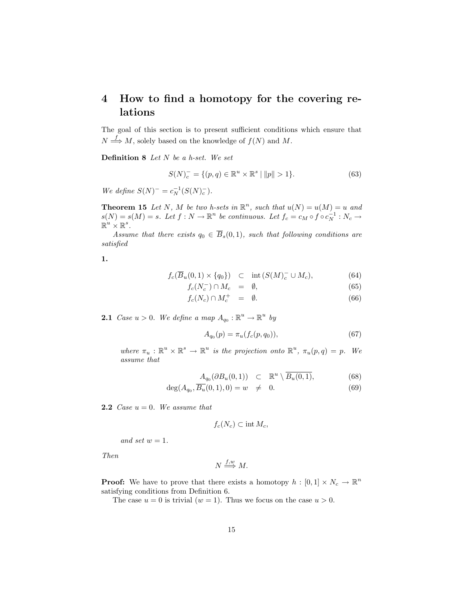# 4 How to find a homotopy for the covering relations

The goal of this section is to present sufficient conditions which ensure that  $N \stackrel{f}{\Longrightarrow} M$ , solely based on the knowledge of  $f(N)$  and M.

**Definition 8** Let  $N$  be a h-set. We set

$$
S(N)_c^- = \{(p, q) \in \mathbb{R}^u \times \mathbb{R}^s \mid ||p|| > 1\}.
$$
 (63)

We define  $S(N)^{-} = c_N^{-1}(S(N)^{-})$ .

**Theorem 15** Let N, M be two h-sets in  $\mathbb{R}^n$ , such that  $u(N) = u(M) = u$  and  $s(N) = s(M) = s$ . Let  $f: N \to \mathbb{R}^n$  be continuous. Let  $f_c = c_M \circ f \circ c_N^{-1}: N_c \to$  $\mathbb{R}^u \times \mathbb{R}^s$  .

Assume that there exists  $q_0 \in \overline{B}_s(0,1)$ , such that following conditions are satisfied

1.

$$
f_c(\overline{B}_u(0,1) \times \{q_0\}) \quad \subset \quad \text{int}\,(S(M)_c^- \cup M_c), \tag{64}
$$

$$
f_c(N_c^-) \cap M_c = \emptyset, \tag{65}
$$

$$
f_c(N_c) \cap M_c^+ = \emptyset. \tag{66}
$$

**2.1** Case  $u > 0$ . We define a map  $A_{q_0}: \mathbb{R}^u \to \mathbb{R}^u$  by

$$
A_{q_0}(p) = \pi_u(f_c(p, q_0)),\tag{67}
$$

where  $\pi_u : \mathbb{R}^u \times \mathbb{R}^s \to \mathbb{R}^u$  is the projection onto  $\mathbb{R}^u$ ,  $\pi_u(p,q) = p$ . We assume that

$$
A_{q_0}(\partial B_u(0,1)) \quad \subset \quad \mathbb{R}^u \setminus \overline{B_u(0,1)}, \tag{68}
$$

$$
\deg(A_{q_0}, \overline{B_u}(0, 1), 0) = w \neq 0. \tag{69}
$$

**2.2** Case  $u = 0$ . We assume that

$$
f_c(N_c) \subset \text{int } M_c,
$$

and set  $w = 1$ .

Then

$$
N \stackrel{f,w}{\Longrightarrow} M.
$$

**Proof:** We have to prove that there exists a homotopy  $h : [0,1] \times N_c \to \mathbb{R}^n$ satisfying conditions from Definition 6.

The case  $u = 0$  is trivial  $(w = 1)$ . Thus we focus on the case  $u > 0$ .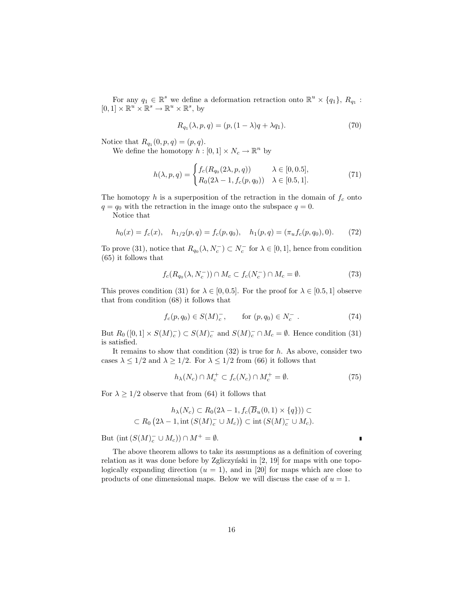For any  $q_1 \in \mathbb{R}^s$  we define a deformation retraction onto  $\mathbb{R}^u \times \{q_1\}$ ,  $R_{q_1}$ :  $[0,1] \times \mathbb{R}^u \times \mathbb{R}^s \to \mathbb{R}^u \times \mathbb{R}^s$ , by

$$
R_{q_1}(\lambda, p, q) = (p, (1 - \lambda)q + \lambda q_1). \tag{70}
$$

Notice that  $R_{q_1}(0, p, q) = (p, q)$ .

We define the homotopy  $h : [0,1] \times N_c \to \mathbb{R}^n$  by

$$
h(\lambda, p, q) = \begin{cases} f_c(R_{q_0}(2\lambda, p, q)) & \lambda \in [0, 0.5], \\ R_0(2\lambda - 1, f_c(p, q_0)) & \lambda \in [0.5, 1]. \end{cases}
$$
(71)

The homotopy  $h$  is a superposition of the retraction in the domain of  $f_c$  onto  $q = q_0$  with the retraction in the image onto the subspace  $q = 0$ .

Notice that

$$
h_0(x) = f_c(x), \quad h_{1/2}(p,q) = f_c(p,q_0), \quad h_1(p,q) = (\pi_u f_c(p,q_0), 0). \tag{72}
$$

To prove (31), notice that  $R_{q_0}(\lambda, N_c^-) \subset N_c^-$  for  $\lambda \in [0, 1]$ , hence from condition (65) it follows that

$$
f_c(R_{q_0}(\lambda, N_c^-)) \cap M_c \subset f_c(N_c^-) \cap M_c = \emptyset. \tag{73}
$$

This proves condition (31) for  $\lambda \in [0, 0.5]$ . For the proof for  $\lambda \in [0.5, 1]$  observe that from condition (68) it follows that

$$
f_c(p, q_0) \in S(M)_c^-, \quad \text{for } (p, q_0) \in N_c^- \ . \tag{74}
$$

But  $R_0([0,1] \times S(M)_c^-) \subset S(M)_c^-$  and  $S(M)_c^- \cap M_c = \emptyset$ . Hence condition (31) is satisfied.

It remains to show that condition  $(32)$  is true for h. As above, consider two cases  $\lambda \leq 1/2$  and  $\lambda \geq 1/2$ . For  $\lambda \leq 1/2$  from (66) it follows that

$$
h_{\lambda}(N_c) \cap M_c^+ \subset f_c(N_c) \cap M_c^+ = \emptyset. \tag{75}
$$

For  $\lambda \geq 1/2$  observe that from (64) it follows that

$$
h_{\lambda}(N_c) \subset R_0(2\lambda - 1, f_c(\overline{B}_u(0, 1) \times \{q\})) \subset
$$
  

$$
\subset R_0(2\lambda - 1, \text{int}(S(M)_{c}^{-} \cup M_c)) \subset \text{int}(S(M)_{c}^{-} \cup M_c).
$$

But  $(\text{int}(S(M)_{c}^{-} \cup M_{c})) \cap M^{+} = \emptyset.$ 

The above theorem allows to take its assumptions as a definition of covering relation as it was done before by Zgliczyński in  $[2, 19]$  for maps with one topologically expanding direction  $(u = 1)$ , and in [20] for maps which are close to products of one dimensional maps. Below we will discuss the case of  $u = 1$ .

ī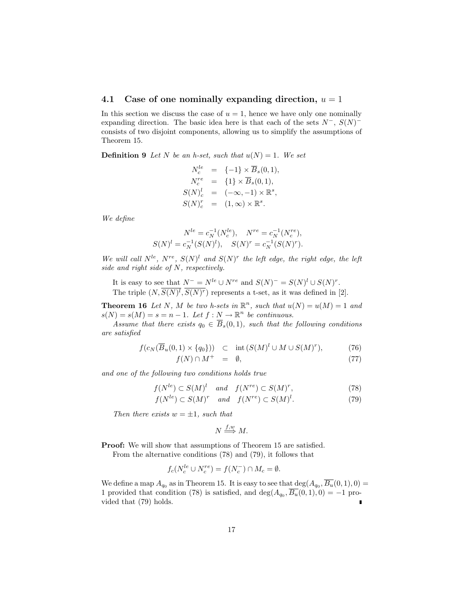### 4.1 Case of one nominally expanding direction,  $u = 1$

In this section we discuss the case of  $u = 1$ , hence we have only one nominally expanding direction. The basic idea here is that each of the sets  $N^-$ ,  $S(N)^$ consists of two disjoint components, allowing us to simplify the assumptions of Theorem 15.

**Definition 9** Let N be an h-set, such that  $u(N) = 1$ . We set

$$
N_c^{le} = \{-1\} \times \overline{B}_s(0,1),
$$
  
\n
$$
N_c^{re} = \{1\} \times \overline{B}_s(0,1),
$$
  
\n
$$
S(N)_c^{l} = (-\infty, -1) \times \mathbb{R}^s,
$$
  
\n
$$
S(N)_c^{r} = (1, \infty) \times \mathbb{R}^s.
$$

We define

$$
N^{le} = c_N^{-1}(N_c^{le}), \quad N^{re} = c_N^{-1}(N_c^{re}),
$$
  

$$
S(N)^l = c_N^{-1}(S(N)^l), \quad S(N)^r = c_N^{-1}(S(N)^r).
$$

We will call  $N^{le}$ ,  $N^{re}$ ,  $S(N)^{l}$  and  $S(N)^{r}$  the left edge, the right edge, the left side and right side of N, respectively.

It is easy to see that  $N^- = N^{le} \cup N^{re}$  and  $S(N)^- = S(N)^l \cup S(N)^r$ . The triple  $(N, S(N)^l, S(N)^r)$  represents a t-set, as it was defined in [2].

**Theorem 16** Let N, M be two h-sets in  $\mathbb{R}^n$ , such that  $u(N) = u(M) = 1$  and  $s(N) = s(M) = s = n - 1$ . Let  $f : N \to \mathbb{R}^n$  be continuous.

Assume that there exists  $q_0 \in \overline{B}_s(0,1)$ , such that the following conditions are satisfied

$$
f(c_N(\overline{B}_u(0,1) \times \{q_0\})) \quad \subset \quad \text{int}\,(S(M)^l \cup M \cup S(M)^r), \tag{76}
$$

 $f(N) \cap M^+ = \emptyset,$  (77)

and one of the following two conditions holds true

$$
f(N^{le}) \subset S(M)^{l} \quad and \quad f(N^{re}) \subset S(M)^{r}, \tag{78}
$$

$$
f(N^{le}) \subset S(M)^r \quad and \quad f(N^{re}) \subset S(M)^l. \tag{79}
$$

Then there exists  $w = \pm 1$ , such that

$$
N \stackrel{f,w}{\Longrightarrow} M.
$$

Proof: We will show that assumptions of Theorem 15 are satisfied.

From the alternative conditions (78) and (79), it follows that

$$
f_c(N_c^{le} \cup N_c^{re}) = f(N_c^-) \cap M_c = \emptyset.
$$

We define a map  $A_{q_0}$  as in Theorem 15. It is easy to see that  $\deg(A_{q_0}, \overline{B_u}(0,1), 0) =$ 1 provided that condition (78) is satisfied, and  $\deg(A_{q_0}, \overline{B_u}(0,1), 0) = -1$  provided that (79) holds.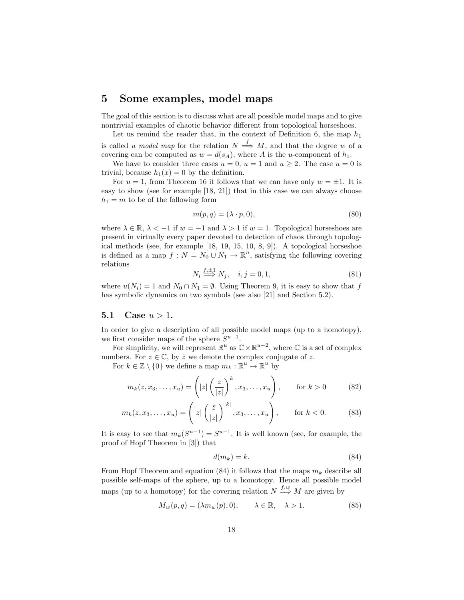## 5 Some examples, model maps

The goal of this section is to discuss what are all possible model maps and to give nontrivial examples of chaotic behavior different from topological horseshoes.

Let us remind the reader that, in the context of Definition 6, the map  $h_1$ is called a model map for the relation  $N \stackrel{f}{\Longrightarrow} M$ , and that the degree w of a covering can be computed as  $w = d(s_A)$ , where A is the u-component of  $h_1$ .

We have to consider three cases  $u = 0$ ,  $u = 1$  and  $u > 2$ . The case  $u = 0$  is trivial, because  $h_1(x) = 0$  by the definition.

For  $u = 1$ , from Theorem 16 it follows that we can have only  $w = \pm 1$ . It is easy to show (see for example [18, 21]) that in this case we can always choose  $h_1 = m$  to be of the following form

$$
m(p,q) = (\lambda \cdot p, 0),\tag{80}
$$

where  $\lambda \in \mathbb{R}, \lambda < -1$  if  $w = -1$  and  $\lambda > 1$  if  $w = 1$ . Topological horseshoes are present in virtually every paper devoted to detection of chaos through topological methods (see, for example [18, 19, 15, 10, 8, 9]). A topological horseshoe is defined as a map  $f: N = N_0 \cup N_1 \to \mathbb{R}^n$ , satisfying the following covering relations

$$
N_i \stackrel{f, \pm 1}{\Longrightarrow} N_j, \quad i, j = 0, 1,\tag{81}
$$

where  $u(N_i) = 1$  and  $N_0 \cap N_1 = \emptyset$ . Using Theorem 9, it is easy to show that f has symbolic dynamics on two symbols (see also [21] and Section 5.2).

### 5.1 Case  $u > 1$ .

In order to give a description of all possible model maps (up to a homotopy), we first consider maps of the sphere  $S^{u-1}$ .

For simplicity, we will represent  $\mathbb{R}^u$  as  $\mathbb{C} \times \mathbb{R}^{u-2}$ , where  $\mathbb{C}$  is a set of complex numbers. For  $z \in \mathbb{C}$ , by  $\bar{z}$  we denote the complex conjugate of z.

For  $k \in \mathbb{Z} \setminus \{0\}$  we define a map  $m_k : \mathbb{R}^u \to \mathbb{R}^u$  by

$$
m_k(z, x_3, \dots, x_u) = \left( |z| \left( \frac{z}{|z|} \right)^k, x_3, \dots, x_u \right), \quad \text{for } k > 0 \quad (82)
$$

$$
m_k(z, x_3, \dots, x_u) = \left( |z| \left( \frac{\bar{z}}{|z|} \right)^{|k|}, x_3, \dots, x_u \right), \quad \text{for } k < 0.
$$
 (83)

It is easy to see that  $m_k(S^{u-1}) = S^{u-1}$ . It is well known (see, for example, the proof of Hopf Theorem in [3]) that

$$
d(m_k) = k.\t\t(84)
$$

From Hopf Theorem and equation (84) it follows that the maps  $m_k$  describe all possible self-maps of the sphere, up to a homotopy. Hence all possible model maps (up to a homotopy) for the covering relation  $N \stackrel{f,w}{\Longrightarrow} M$  are given by

$$
M_w(p,q) = (\lambda m_w(p), 0), \qquad \lambda \in \mathbb{R}, \quad \lambda > 1.
$$
 (85)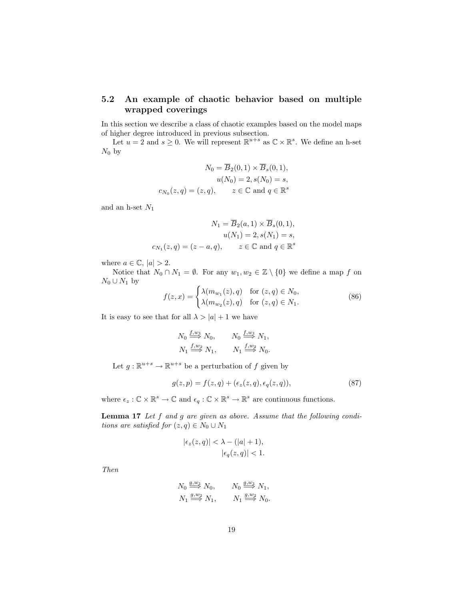## 5.2 An example of chaotic behavior based on multiple wrapped coverings

In this section we describe a class of chaotic examples based on the model maps of higher degree introduced in previous subsection.

Let  $u = 2$  and  $s \geq 0$ . We will represent  $\mathbb{R}^{u+s}$  as  $\mathbb{C} \times \mathbb{R}^s$ . We define an h-set  $N_0$  by

$$
N_0 = \overline{B}_2(0,1) \times \overline{B}_s(0,1),
$$
  
\n
$$
u(N_0) = 2, s(N_0) = s,
$$
  
\n
$$
c_{N_0}(z,q) = (z,q), \qquad z \in \mathbb{C} \text{ and } q \in \mathbb{R}^s
$$

and an h-set  $N_1$ 

$$
N_1 = \overline{B}_2(a, 1) \times \overline{B}_s(0, 1),
$$
  
\n
$$
u(N_1) = 2, s(N_1) = s,
$$
  
\n
$$
c_{N_1}(z, q) = (z - a, q), \qquad z \in \mathbb{C} \text{ and } q \in \mathbb{R}^s
$$

where  $a \in \mathbb{C}$ ,  $|a| > 2$ .

Notice that  $N_0 \cap N_1 = \emptyset$ . For any  $w_1, w_2 \in \mathbb{Z} \setminus \{0\}$  we define a map f on  $N_0 \cup N_1$  by

$$
f(z,x) = \begin{cases} \lambda(m_{w_1}(z), q) & \text{for } (z, q) \in N_0, \\ \lambda(m_{w_2}(z), q) & \text{for } (z, q) \in N_1. \end{cases}
$$
 (86)

It is easy to see that for all  $\lambda > |a| + 1$  we have

$$
N_0 \stackrel{f,w_1}{\Longrightarrow} N_0, \qquad N_0 \stackrel{f,w_1}{\Longrightarrow} N_1,
$$
  

$$
N_1 \stackrel{f,w_2}{\Longrightarrow} N_1, \qquad N_1 \stackrel{f,w_2}{\Longrightarrow} N_0.
$$

Let  $g: \mathbb{R}^{u+s} \to \mathbb{R}^{u+s}$  be a perturbation of f given by

$$
g(z,p) = f(z,q) + (\epsilon_z(z,q), \epsilon_q(z,q)),
$$
\n(87)

where  $\epsilon_z : \mathbb{C} \times \mathbb{R}^s \to \mathbb{C}$  and  $\epsilon_q : \mathbb{C} \times \mathbb{R}^s \to \mathbb{R}^s$  are continuous functions.

Lemma 17 Let f and g are given as above. Assume that the following conditions are satisfied for  $(z, q) \in N_0 \cup N_1$ 

$$
|\epsilon_z(z,q)| < \lambda - (|a|+1),
$$
  
 
$$
|\epsilon_q(z,q)| < 1.
$$

Then

$$
N_0 \stackrel{g,w_1}{\Longrightarrow} N_0, \qquad N_0 \stackrel{g,w_1}{\Longrightarrow} N_1,
$$
  

$$
N_1 \stackrel{g,w_2}{\Longrightarrow} N_1, \qquad N_1 \stackrel{g,w_2}{\Longrightarrow} N_0.
$$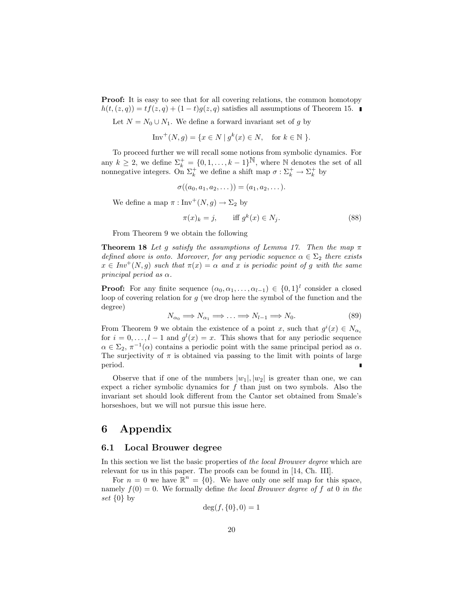Proof: It is easy to see that for all covering relations, the common homotopy  $h(t,(z,q)) = tf(z,q) + (1-t)g(z,q)$  satisfies all assumptions of Theorem 15.

Let  $N = N_0 \cup N_1$ . We define a forward invariant set of g by

$$
Inv^+(N,g) = \{x \in N \mid g^k(x) \in N, \text{ for } k \in \mathbb{N} \}.
$$

To proceed further we will recall some notions from symbolic dynamics. For any  $k \geq 2$ , we define  $\Sigma_k^+ = \{0, 1, \ldots, k-1\}^{\mathbb{N}}$ , where N denotes the set of all nonnegative integers. On  $\Sigma_k^+$  we define a shift map  $\sigma : \Sigma_k^+ \to \Sigma_k^+$  by

$$
\sigma((a_0, a_1, a_2, \dots)) = (a_1, a_2, \dots).
$$

We define a map  $\pi : Inv^+(N, g) \to \Sigma_2$  by

$$
\pi(x)_k = j, \qquad \text{iff } g^k(x) \in N_j. \tag{88}
$$

From Theorem 9 we obtain the following

**Theorem 18** Let g satisfy the assumptions of Lemma 17. Then the map  $\pi$ defined above is onto. Moreover, for any periodic sequence  $\alpha \in \Sigma_2$  there exists  $x \in Inv^{+}(N, g)$  such that  $\pi(x) = \alpha$  and x is periodic point of g with the same principal period as  $\alpha$ .

**Proof:** For any finite sequence  $(\alpha_0, \alpha_1, \ldots, \alpha_{l-1}) \in \{0, 1\}^l$  consider a closed loop of covering relation for g (we drop here the symbol of the function and the degree)

$$
N_{\alpha_0} \Longrightarrow N_{\alpha_1} \Longrightarrow \ldots \Longrightarrow N_{l-1} \Longrightarrow N_0. \tag{89}
$$

From Theorem 9 we obtain the existence of a point x, such that  $g^{i}(x) \in N_{\alpha_{i}}$ for  $i = 0, \ldots, l - 1$  and  $g^{l}(x) = x$ . This shows that for any periodic sequence  $\alpha \in \Sigma_2$ ,  $\pi^{-1}(\alpha)$  contains a periodic point with the same principal period as  $\alpha$ . The surjectivity of  $\pi$  is obtained via passing to the limit with points of large period. П

Observe that if one of the numbers  $|w_1|, |w_2|$  is greater than one, we can expect a richer symbolic dynamics for  $f$  than just on two symbols. Also the invariant set should look different from the Cantor set obtained from Smale's horseshoes, but we will not pursue this issue here.

## 6 Appendix

#### 6.1 Local Brouwer degree

In this section we list the basic properties of the local Brouwer degree which are relevant for us in this paper. The proofs can be found in [14, Ch. III].

For  $n = 0$  we have  $\mathbb{R}^n = \{0\}$ . We have only one self map for this space, namely  $f(0) = 0$ . We formally define the local Brouwer degree of f at 0 in the set  $\{0\}$  by

$$
\deg(f, \{0\}, 0) = 1
$$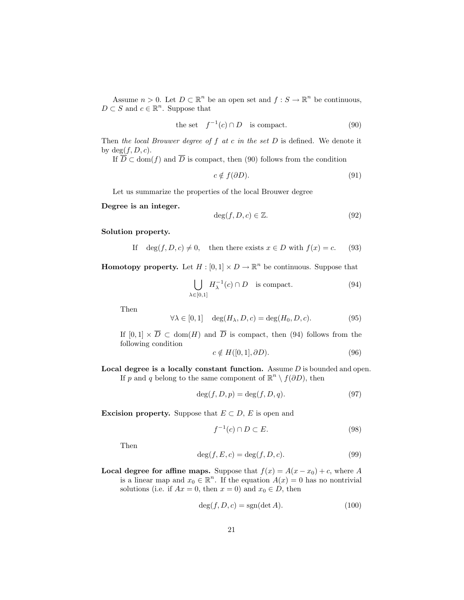Assume  $n > 0$ . Let  $D \subset \mathbb{R}^n$  be an open set and  $f : S \to \mathbb{R}^n$  be continuous,  $D \subset S$  and  $c \in \mathbb{R}^n$ . Suppose that

the set 
$$
f^{-1}(c) \cap D
$$
 is compact. (90)

Then the local Brouwer degree of  $f$  at  $c$  in the set  $D$  is defined. We denote it by  $deg(f, D, c)$ .

If  $\overline{D} \subset \text{dom}(f)$  and  $\overline{D}$  is compact, then (90) follows from the condition

$$
c \notin f(\partial D). \tag{91}
$$

Let us summarize the properties of the local Brouwer degree

Degree is an integer.

$$
\deg(f, D, c) \in \mathbb{Z}.\tag{92}
$$

Solution property.

If 
$$
\deg(f, D, c) \neq 0
$$
, then there exists  $x \in D$  with  $f(x) = c$ . (93)

**Homotopy property.** Let  $H : [0,1] \times D \to \mathbb{R}^n$  be continuous. Suppose that

$$
\bigcup_{\lambda \in [0,1]} H_{\lambda}^{-1}(c) \cap D \quad \text{is compact.} \tag{94}
$$

Then

$$
\forall \lambda \in [0, 1] \quad \deg(H_{\lambda}, D, c) = \deg(H_0, D, c). \tag{95}
$$

If  $[0,1] \times \overline{D} \subset \text{dom}(H)$  and  $\overline{D}$  is compact, then (94) follows from the following condition

$$
c \notin H([0, 1], \partial D). \tag{96}
$$

Local degree is a locally constant function. Assume  $D$  is bounded and open. If p and q belong to the same component of  $\mathbb{R}^n \setminus f(\partial D)$ , then

$$
\deg(f, D, p) = \deg(f, D, q). \tag{97}
$$

Excision property. Suppose that  $E \subset D$ , E is open and

$$
f^{-1}(c) \cap D \subset E. \tag{98}
$$

Then

$$
\deg(f, E, c) = \deg(f, D, c). \tag{99}
$$

Local degree for affine maps. Suppose that  $f(x) = A(x - x_0) + c$ , where A is a linear map and  $x_0 \in \mathbb{R}^n$ . If the equation  $A(x) = 0$  has no nontrivial solutions (i.e. if  $Ax = 0$ , then  $x = 0$ ) and  $x_0 \in D$ , then

$$
\deg(f, D, c) = \text{sgn}(\det A). \tag{100}
$$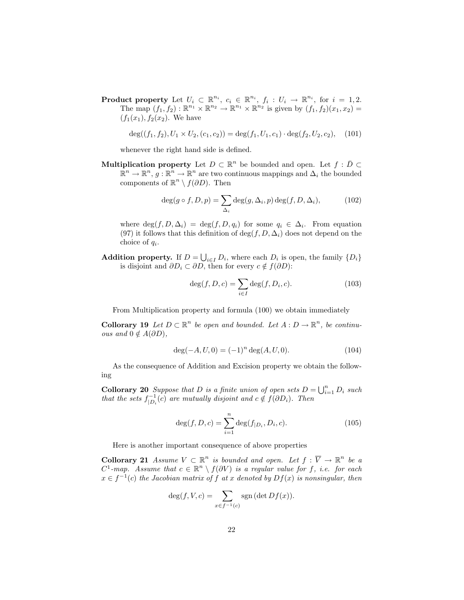**Product property** Let  $U_i \subset \mathbb{R}^{n_i}$ ,  $c_i \in \mathbb{R}^{n_i}$ ,  $f_i: U_i \to \mathbb{R}^{n_i}$ , for  $i = 1, 2$ . The map  $(f_1, f_2) : \mathbb{R}^{n_1} \times \mathbb{R}^{n_2} \to \mathbb{R}^{n_1} \times \mathbb{R}^{n_2}$  is given by  $(f_1, f_2)(x_1, x_2) =$  $(f_1(x_1), f_2(x_2)$ . We have

$$
\deg((f_1, f_2), U_1 \times U_2, (c_1, c_2)) = \deg(f_1, U_1, c_1) \cdot \deg(f_2, U_2, c_2), \quad (101)
$$

whenever the right hand side is defined.

**Multiplication property** Let  $D \subset \mathbb{R}^n$  be bounded and open. Let  $f : \overline{D} \subset \overline{D}$  $\mathbb{R}^n \to \mathbb{R}^n$ ,  $g: \mathbb{R}^n \to \mathbb{R}^n$  are two continuous mappings and  $\Delta_i$  the bounded components of  $\mathbb{R}^n \setminus f(\partial D)$ . Then

$$
\deg(g \circ f, D, p) = \sum_{\Delta_i} \deg(g, \Delta_i, p) \deg(f, D, \Delta_i), \tag{102}
$$

where  $\deg(f, D, \Delta_i) = \deg(f, D, q_i)$  for some  $q_i \in \Delta_i$ . From equation (97) it follows that this definition of  $\deg(f, D, \Delta_i)$  does not depend on the choice of  $q_i$ .

**Addition property.** If  $D = \bigcup_{i \in I} D_i$ , where each  $D_i$  is open, the family  $\{D_i\}$ is disjoint and  $\partial D_i \subset \partial D$ , then for every  $c \notin f(\partial D)$ :

$$
\deg(f, D, c) = \sum_{i \in I} \deg(f, D_i, c). \tag{103}
$$

From Multiplication property and formula (100) we obtain immediately

**Collorary 19** Let  $D \subset \mathbb{R}^n$  be open and bounded. Let  $A: D \to \mathbb{R}^n$ , be continu*ous and*  $0 \notin A(\partial D)$ ,

$$
\deg(-A, U, 0) = (-1)^n \deg(A, U, 0). \tag{104}
$$

As the consequence of Addition and Excision property we obtain the following

**Collorary 20** Suppose that D is a finite union of open sets  $D = \bigcup_{i=1}^{n} D_i$  such that the sets  $f_{|D_i}^{-1}(c)$  are mutually disjoint and  $c \notin f(\partial D_i)$ . Then

$$
\deg(f, D, c) = \sum_{i=1}^{n} \deg(f_{|D_i}, D_i, c).
$$
\n(105)

Here is another important consequence of above properties

**Collorary 21** Assume  $V \subset \mathbb{R}^n$  is bounded and open. Let  $f : \overline{V} \to \mathbb{R}^n$  be a  $C^1$ -map. Assume that  $c \in \mathbb{R}^n \setminus f(\partial V)$  is a regular value for f, i.e. for each  $x \in f^{-1}(c)$  the Jacobian matrix of f at x denoted by  $Df(x)$  is nonsingular, then

$$
\deg(f, V, c) = \sum_{x \in f^{-1}(c)} \operatorname{sgn} (\det Df(x)).
$$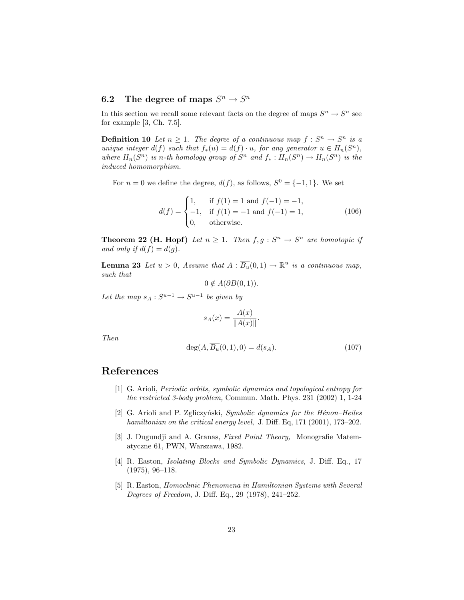## 6.2 The degree of maps  $S^n \to S^n$

In this section we recall some relevant facts on the degree of maps  $S^n \to S^n$  see for example [3, Ch. 7.5].

**Definition 10** Let  $n \geq 1$ . The degree of a continuous map  $f : S^n \to S^n$  is a unique integer  $d(f)$  such that  $f_*(u) = d(f) \cdot u$ , for any generator  $u \in H_n(S^n)$ , where  $H_n(S^n)$  is n-th homology group of  $S^n$  and  $f_*: H_n(S^n) \to H_n(S^n)$  is the induced homomorphism.

For  $n = 0$  we define the degree,  $d(f)$ , as follows,  $S^0 = \{-1, 1\}$ . We set

$$
d(f) = \begin{cases} 1, & \text{if } f(1) = 1 \text{ and } f(-1) = -1, \\ -1, & \text{if } f(1) = -1 \text{ and } f(-1) = 1, \\ 0, & \text{otherwise.} \end{cases}
$$
(106)

**Theorem 22 (H. Hopf)** Let  $n \geq 1$ . Then  $f, g : S^n \to S^n$  are homotopic if and only if  $d(f) = d(g)$ .

**Lemma 23** Let  $u > 0$ , Assume that  $A : \overline{B_u}(0,1) \to \mathbb{R}^u$  is a continuous map, such that

 $0 \notin A(\partial B(0, 1)).$ 

Let the map  $s_A: S^{u-1} \to S^{u-1}$  be given by

$$
s_A(x) = \frac{A(x)}{\|A(x)\|}.
$$

Then

$$
\deg(A, \overline{B_u}(0,1), 0) = d(s_A). \tag{107}
$$

## References

- [1] G. Arioli, Periodic orbits, symbolic dynamics and topological entropy for the restricted 3-body problem, Commun. Math. Phys. 231 (2002) 1, 1-24
- [2] G. Arioli and P. Zgliczyński, Symbolic dynamics for the Hénon–Heiles hamiltonian on the critical energy level, J. Diff. Eq, 171 (2001), 173-202.
- [3] J. Dugundji and A. Granas, Fixed Point Theory, Monografie Matematyczne 61, PWN, Warszawa, 1982.
- [4] R. Easton, *Isolating Blocks and Symbolic Dynamics*, J. Diff. Eq., 17 (1975), 96–118.
- [5] R. Easton, Homoclinic Phenomena in Hamiltonian Systems with Several Degrees of Freedom, J. Diff. Eq., 29 (1978), 241–252.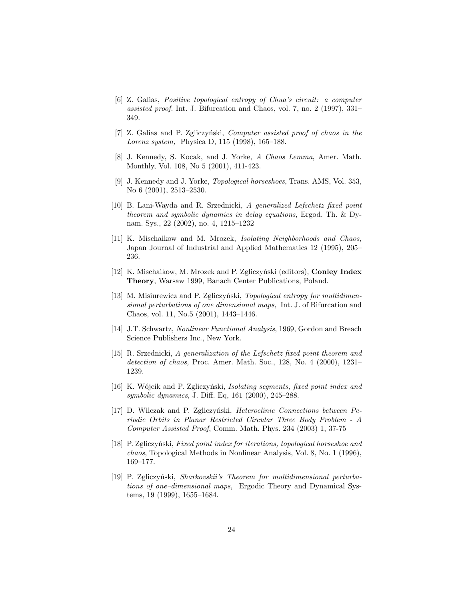- [6] Z. Galias, Positive topological entropy of Chua's circuit: a computer assisted proof. Int. J. Bifurcation and Chaos, vol. 7, no. 2 (1997), 331– 349.
- [7] Z. Galias and P. Zgliczyński, Computer assisted proof of chaos in the Lorenz system, Physica D, 115 (1998), 165–188.
- [8] J. Kennedy, S. Kocak, and J. Yorke, A Chaos Lemma, Amer. Math. Monthly, Vol. 108, No 5 (2001), 411-423.
- [9] J. Kennedy and J. Yorke, Topological horseshoes, Trans. AMS, Vol. 353, No 6 (2001), 2513–2530.
- [10] B. Lani-Wayda and R. Srzednicki, A generalized Lefschetz fixed point theorem and symbolic dynamics in delay equations, Ergod. Th. & Dynam. Sys., 22 (2002), no. 4, 1215–1232
- [11] K. Mischaikow and M. Mrozek, Isolating Neighborhoods and Chaos, Japan Journal of Industrial and Applied Mathematics 12 (1995), 205– 236.
- [12] K. Mischaikow, M. Mrozek and P. Zgliczyński (editors), **Conley Index** Theory, Warsaw 1999, Banach Center Publications, Poland.
- [13] M. Misiurewicz and P. Zgliczyński, *Topological entropy for multidimen*sional perturbations of one dimensional maps, Int. J. of Bifurcation and Chaos, vol. 11, No.5 (2001), 1443–1446.
- [14] J.T. Schwartz, Nonlinear Functional Analysis, 1969, Gordon and Breach Science Publishers Inc., New York.
- [15] R. Srzednicki, A generalization of the Lefschetz fixed point theorem and detection of chaos, Proc. Amer. Math. Soc., 128, No. 4 (2000), 1231– 1239.
- [16] K. Wójcik and P. Zgliczyński, Isolating segments, fixed point index and symbolic dynamics, J. Diff. Eq, 161 (2000), 245–288.
- [17] D. Wilczak and P. Zgliczyński, Heteroclinic Connections between Periodic Orbits in Planar Restricted Circular Three Body Problem - A Computer Assisted Proof, Comm. Math. Phys. 234 (2003) 1, 37-75
- [18] P. Zgliczy´nski, Fixed point index for iterations, topological horseshoe and chaos, Topological Methods in Nonlinear Analysis, Vol. 8, No. 1 (1996), 169–177.
- [19] P. Zgliczyński, *Sharkovskii's Theorem for multidimensional perturba*tions of one–dimensional maps, Ergodic Theory and Dynamical Systems, 19 (1999), 1655–1684.